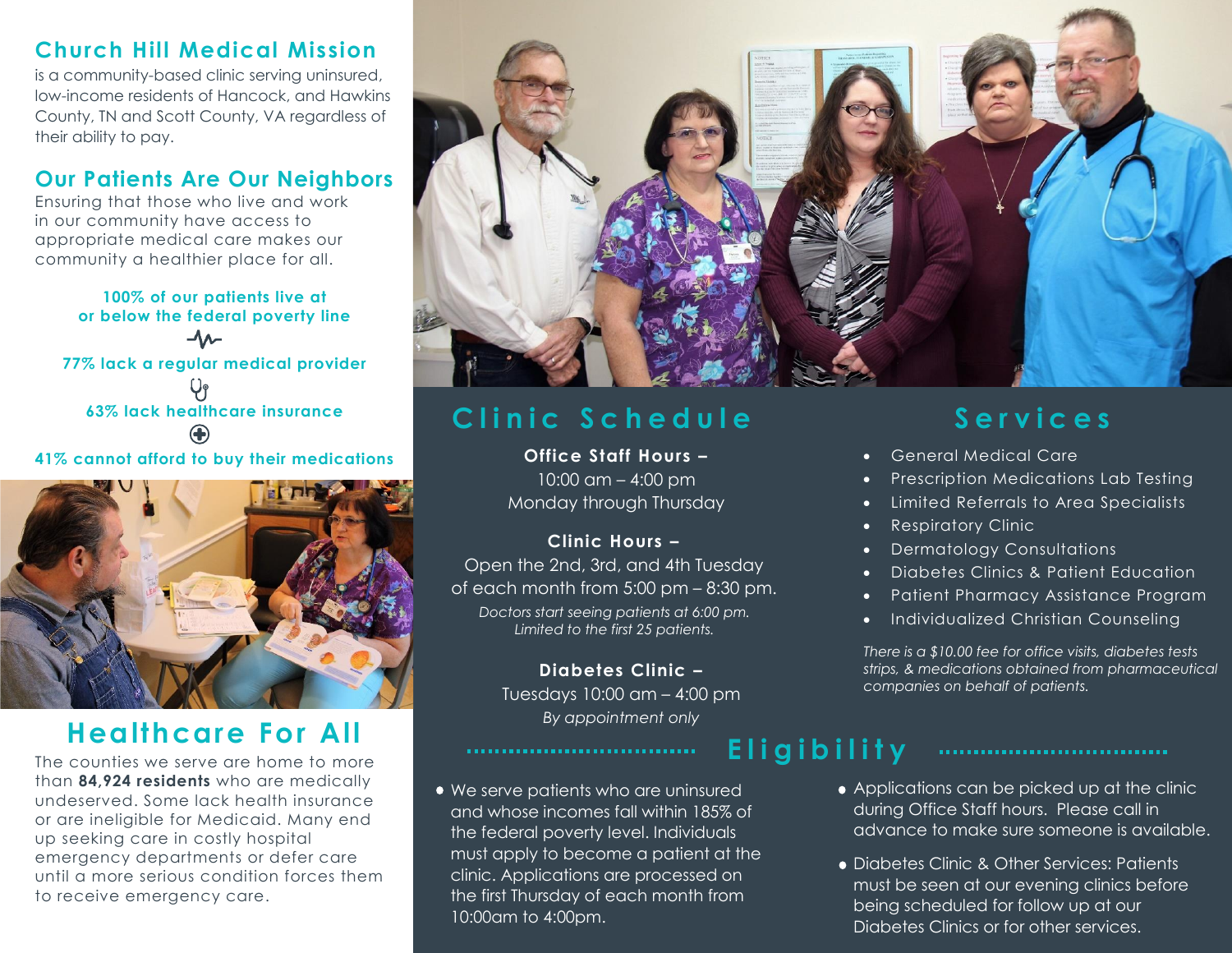#### **Church Hill Medical Mission**

is a community-based clinic serving uninsured, low-income residents of Hancock, and Hawkins County, TN and Scott County, VA regardless of their ability to pay.

#### **Our Patients Are Our Neighbors**

Ensuring that those who live and work in our community have access to appropriate medical care makes our community a healthier place for all.

**100% of our patients live at or below the federal poverty line 77% lack a regular medical provider 63% lack healthcare insurance**

**41% cannot afford to buy their medications**



## **Healthcare For All**

The counties we serve are home to more than **84,924 residents** who are medically undeserved. Some lack health insurance or are ineligible for Medicaid. Many end up seeking care in costly hospital emergency departments or defer care until a more serious condition forces them to receive emergency care.



**E l i g i b i l i t y**

### Clinic Schedule<br>
Services

**Office Staff Hours –** 10:00 am – 4:00 pm Monday through Thursday

*Doctors start seeing patients at 6:00 pm. Limited to the first 25 patients.* **Clinic Hours –** Open the 2nd, 3rd, and 4th Tuesday of each month from 5:00 pm – 8:30 pm.

> **Diabetes Clinic –** Tuesdays 10:00 am – 4:00 pm *By appointment only*

We serve patients who are uninsured and whose incomes fall within 185% of the federal poverty level. Individuals must apply to become a patient at the clinic. Applications are processed on the first Thursday of each month from 10:00am to 4:00pm.

- General Medical Care
- Prescription Medications Lab Testing
- Limited Referrals to Area Specialists
- Respiratory Clinic
- Dermatology Consultations
- Diabetes Clinics & Patient Education
- Patient Pharmacy Assistance Program
- Individualized Christian Counseling

*There is a \$10.00 fee for office visits, diabetes tests strips, & medications obtained from pharmaceutical companies on behalf of patients.*

- Applications can be picked up at the clinic during Office Staff hours. Please call in advance to make sure someone is available.
- Diabetes Clinic & Other Services: Patients must be seen at our evening clinics before being scheduled for follow up at our Diabetes Clinics or for other services.